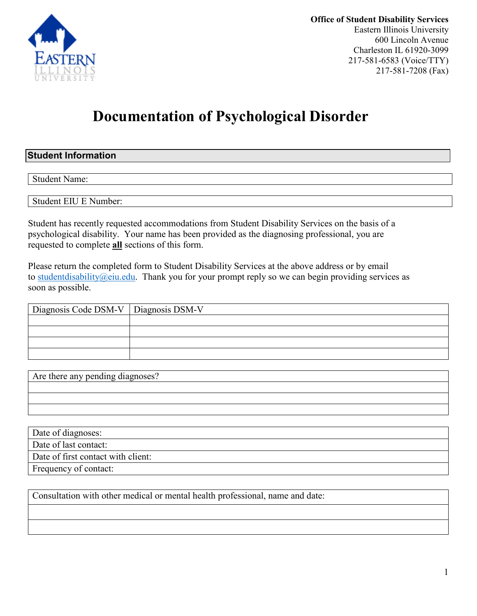

**Office of Student Disability Services**  Eastern Illinois University 600 Lincoln Avenue Charleston IL 61920-3099 217-581-6583 (Voice/TTY) 217-581-7208 (Fax)

# **Documentation of Psychological Disorder**

## **Student Information**

Student Name:

Student EIU E Number:

Student has recently requested accommodations from Student Disability Services on the basis of a psychological disability. Your name has been provided as the diagnosing professional, you are requested to complete **all** sections of this form.

Please return the completed form to Student Disability Services at the above address or by email to [studentdisability@eiu.edu.](mailto:studentdisability@eiu.edu) Thank you for your prompt reply so we can begin providing services as soon as possible.

| Diagnosis Code DSM-V   Diagnosis DSM-V |  |  |  |
|----------------------------------------|--|--|--|
|                                        |  |  |  |
|                                        |  |  |  |
|                                        |  |  |  |
|                                        |  |  |  |

| Are there any pending diagnoses? |  |
|----------------------------------|--|
|                                  |  |
|                                  |  |
|                                  |  |

Date of diagnoses:

Date of last contact:

Date of first contact with client:

Frequency of contact:

Consultation with other medical or mental health professional, name and date: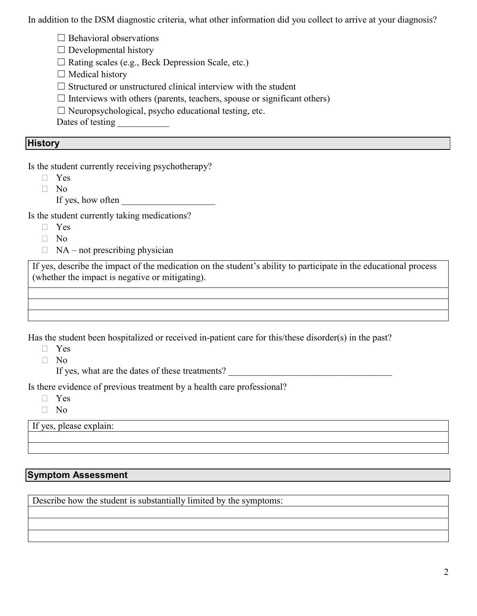In addition to the DSM diagnostic criteria, what other information did you collect to arrive at your diagnosis?

 $\Box$  Behavioral observations

 $\Box$  Developmental history

☐ Rating scales (e.g., Beck Depression Scale, etc.)

 $\Box$  Medical history

 $\Box$  Structured or unstructured clinical interview with the student

 $\Box$  Interviews with others (parents, teachers, spouse or significant others)

 $\Box$  Neuropsychological, psycho educational testing, etc.

Dates of testing

#### **History**

Is the student currently receiving psychotherapy?

Yes

 $\neg$  No

If yes, how often

Is the student currently taking medications?

- Yes
- $\Box$  No
- $\Box$  NA not prescribing physician

If yes, describe the impact of the medication on the student's ability to participate in the educational process (whether the impact is negative or mitigating).

Has the student been hospitalized or received in-patient care for this/these disorder(s) in the past?

- Yes
- No

If yes, what are the dates of these treatments?

Is there evidence of previous treatment by a health care professional?

- Yes
- No

If yes, please explain:

#### **Symptom Assessment**

Describe how the student is substantially limited by the symptoms: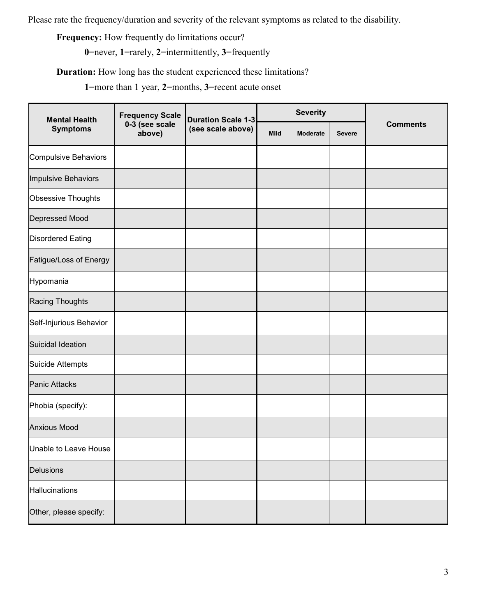Please rate the frequency/duration and severity of the relevant symptoms as related to the disability.

**Frequency:** How frequently do limitations occur?

**0**=never, **1**=rarely, **2**=intermittently, **3**=frequently

**Duration:** How long has the student experienced these limitations?

**1**=more than 1 year, **2**=months, **3**=recent acute onset

| <b>Mental Health</b>        | <b>Frequency Scale</b>   | <b>Duration Scale 1-3</b> | <b>Severity</b> |                 |               |                 |
|-----------------------------|--------------------------|---------------------------|-----------------|-----------------|---------------|-----------------|
| <b>Symptoms</b>             | 0-3 (see scale<br>above) | (see scale above)         | Mild            | <b>Moderate</b> | <b>Severe</b> | <b>Comments</b> |
| <b>Compulsive Behaviors</b> |                          |                           |                 |                 |               |                 |
| Impulsive Behaviors         |                          |                           |                 |                 |               |                 |
| Obsessive Thoughts          |                          |                           |                 |                 |               |                 |
| Depressed Mood              |                          |                           |                 |                 |               |                 |
| <b>Disordered Eating</b>    |                          |                           |                 |                 |               |                 |
| Fatigue/Loss of Energy      |                          |                           |                 |                 |               |                 |
| Hypomania                   |                          |                           |                 |                 |               |                 |
| Racing Thoughts             |                          |                           |                 |                 |               |                 |
| Self-Injurious Behavior     |                          |                           |                 |                 |               |                 |
| Suicidal Ideation           |                          |                           |                 |                 |               |                 |
| Suicide Attempts            |                          |                           |                 |                 |               |                 |
| <b>Panic Attacks</b>        |                          |                           |                 |                 |               |                 |
| Phobia (specify):           |                          |                           |                 |                 |               |                 |
| <b>Anxious Mood</b>         |                          |                           |                 |                 |               |                 |
| Unable to Leave House       |                          |                           |                 |                 |               |                 |
| <b>Delusions</b>            |                          |                           |                 |                 |               |                 |
| Hallucinations              |                          |                           |                 |                 |               |                 |
| Other, please specify:      |                          |                           |                 |                 |               |                 |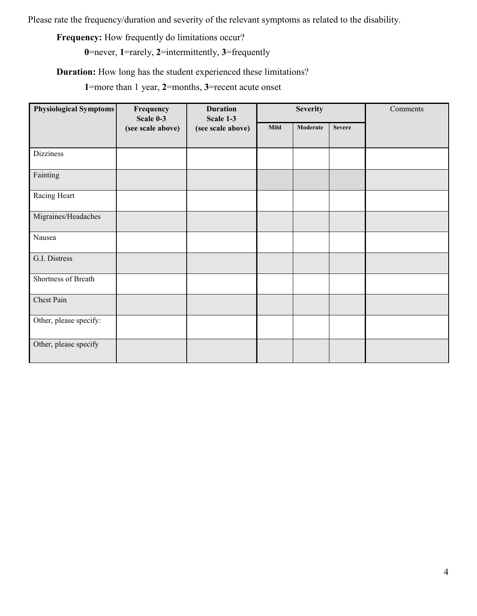Please rate the frequency/duration and severity of the relevant symptoms as related to the disability.

**Frequency:** How frequently do limitations occur?

**0**=never, **1**=rarely, **2**=intermittently, **3**=frequently

**Duration:** How long has the student experienced these limitations?

**1**=more than 1 year, **2**=months, **3**=recent acute onset

| <b>Physiological Symptoms</b> | Frequency<br>Scale 0-3 | <b>Duration</b><br>Scale 1-3 | <b>Severity</b> |          | Comments      |  |
|-------------------------------|------------------------|------------------------------|-----------------|----------|---------------|--|
|                               | (see scale above)      | (see scale above)            | <b>Mild</b>     | Moderate | <b>Severe</b> |  |
|                               |                        |                              |                 |          |               |  |
| <b>Dizziness</b>              |                        |                              |                 |          |               |  |
| Fainting                      |                        |                              |                 |          |               |  |
| Racing Heart                  |                        |                              |                 |          |               |  |
| Migraines/Headaches           |                        |                              |                 |          |               |  |
| Nausea                        |                        |                              |                 |          |               |  |
| G.I. Distress                 |                        |                              |                 |          |               |  |
| Shortness of Breath           |                        |                              |                 |          |               |  |
| Chest Pain                    |                        |                              |                 |          |               |  |
| Other, please specify:        |                        |                              |                 |          |               |  |
| Other, please specify         |                        |                              |                 |          |               |  |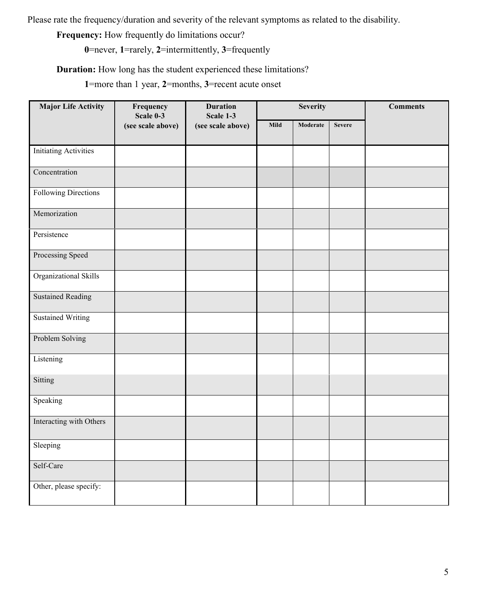Please rate the frequency/duration and severity of the relevant symptoms as related to the disability.

**Frequency:** How frequently do limitations occur?

**0**=never, **1**=rarely, **2**=intermittently, **3**=frequently

**Duration:** How long has the student experienced these limitations?

**1**=more than 1 year, **2**=months, **3**=recent acute onset

| <b>Major Life Activity</b>   | Frequency<br>Scale 0-3 | <b>Duration</b><br>Scale 1-3 | <b>Severity</b> |          | <b>Comments</b> |  |
|------------------------------|------------------------|------------------------------|-----------------|----------|-----------------|--|
|                              | (see scale above)      | (see scale above)            | Mild            | Moderate | <b>Severe</b>   |  |
| <b>Initiating Activities</b> |                        |                              |                 |          |                 |  |
| Concentration                |                        |                              |                 |          |                 |  |
| Following Directions         |                        |                              |                 |          |                 |  |
| Memorization                 |                        |                              |                 |          |                 |  |
| Persistence                  |                        |                              |                 |          |                 |  |
| Processing Speed             |                        |                              |                 |          |                 |  |
| Organizational Skills        |                        |                              |                 |          |                 |  |
| <b>Sustained Reading</b>     |                        |                              |                 |          |                 |  |
| <b>Sustained Writing</b>     |                        |                              |                 |          |                 |  |
| Problem Solving              |                        |                              |                 |          |                 |  |
| Listening                    |                        |                              |                 |          |                 |  |
| Sitting                      |                        |                              |                 |          |                 |  |
| Speaking                     |                        |                              |                 |          |                 |  |
| Interacting with Others      |                        |                              |                 |          |                 |  |
| Sleeping                     |                        |                              |                 |          |                 |  |
| Self-Care                    |                        |                              |                 |          |                 |  |
| Other, please specify:       |                        |                              |                 |          |                 |  |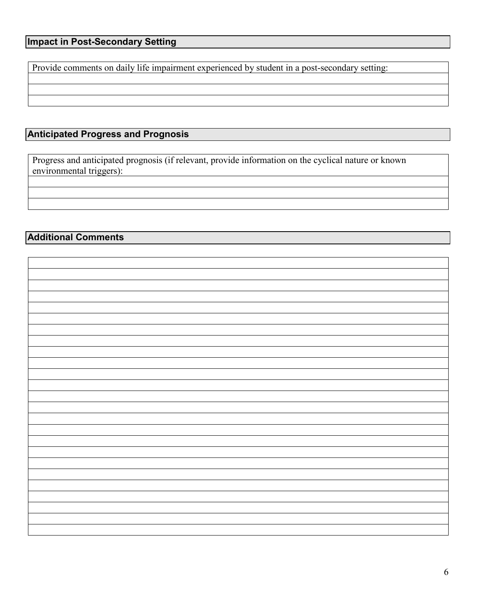Provide comments on daily life impairment experienced by student in a post-secondary setting:

# **Anticipated Progress and Prognosis**

Progress and anticipated prognosis (if relevant, provide information on the cyclical nature or known environmental triggers):

## **Additional Comments**